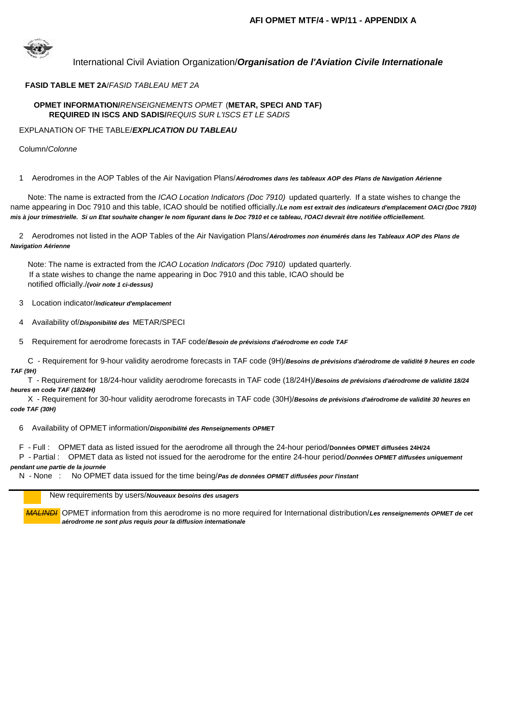

# International Civil Aviation Organization/*Organisation de l'Aviation Civile Internationale*

# **FASID TABLE MET 2A**/*FASID TABLEAU MET 2A*

### **OPMET INFORMATION/***RENSEIGNEMENTS OPMET* (**METAR, SPECI AND TAF) REQUIRED IN ISCS AND SADIS/***REQUIS SUR L'ISCS ET LE SADIS*

### EXPLANATION OF THE TABLE/*EXPLICATION DU TABLEAU*

### Column/*Colonne*

#### 1 Aerodromes in the AOP Tables of the Air Navigation Plans/*Aérodromes dans les tableaux AOP des Plans de Navigation Aérienne*

 Note: The name is extracted from the *ICAO Location Indicators (Doc 7910)* updated quarterly*.* If a state wishes to change the name appearing in Doc 7910 and this table, ICAO should be notified officially./*Le nom est extrait des indicateurs d'emplacement OACI (Doc 7910) mis à jour trimestrielle. Si un Etat souhaite changer le nom figurant dans le Doc 7910 et ce tableau, l'OACI devrait être notifiée officiellement.*

 2 Aerodromes not listed in the AOP Tables of the Air Navigation Plans/*Aérodromes non énumérés dans les Tableaux AOP des Plans de Navigation Aérienne*

 Note: The name is extracted from the *ICAO Location Indicators (Doc 7910)* updated quarterly*.*  If a state wishes to change the name appearing in Doc 7910 and this table, ICAO should be notified officially./*(voir note 1 ci-dessus)*

3 Location indicator/*Indicateur d'emplacement*

4 Availability of/*Disponibilité des* METAR/SPECI

5 Requirement for aerodrome forecasts in TAF code/*Besoin de prévisions d'aérodrome en code TAF* 

 C - Requirement for 9-hour validity aerodrome forecasts in TAF code (9H)/*Besoins de prévisions d'aérodrome de validité 9 heures en code TAF (9H)*

 T - Requirement for 18/24-hour validity aerodrome forecasts in TAF code (18/24H)/*Besoins de prévisions d'aérodrome de validité 18/24 heures en code TAF (18/24H)*

 X - Requirement for 30-hour validity aerodrome forecasts in TAF code (30H)/*Besoins de prévisions d'aérodrome de validité 30 heures en code TAF (30H)*

6 Availability of OPMET information/*Disponibilité des Renseignements OPMET*

F - Full : OPMET data as listed issued for the aerodrome all through the 24-hour period/**Données OPMET diffusées 24H/24**

 P - Partial : OPMET data as listed not issued for the aerodrome for the entire 24-hour period/*Données OPMET diffusées uniquement pendant une partie de la journée*

N - None : No OPMET data issued for the time being/*Pas de données OPMET diffusées pour l'instant*

## New requirements by users/*Nouveaux besoins des usagers*

*MALINDI* OPMET information from this aerodrome is no more required for International distribution/*Les renseignements OPMET de cet aérodrome ne sont plus requis pour la diffusion internationale*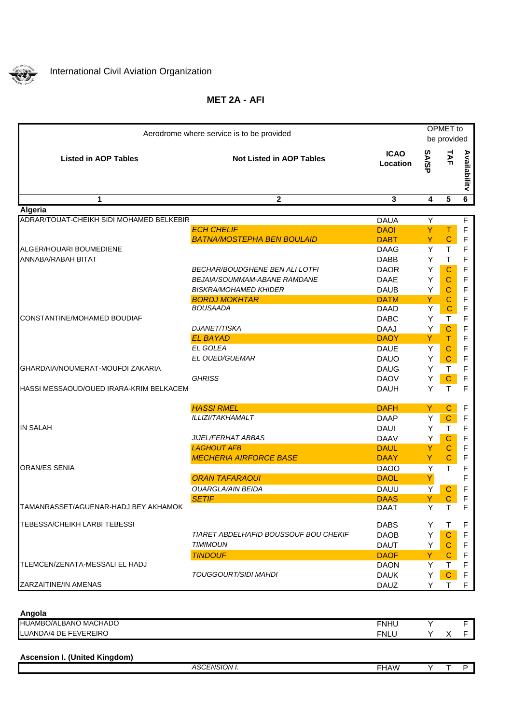

# **AFI MET 2A -**

| Aerodrome where service is to be provided |                                       |                                | OPMET to<br>be provided |                            |              |
|-------------------------------------------|---------------------------------------|--------------------------------|-------------------------|----------------------------|--------------|
| <b>Listed in AOP Tables</b>               | <b>Not Listed in AOP Tables</b>       | <b>ICAO</b><br><b>Location</b> | <b>SA/SP</b>            | TAF                        | Availabilitv |
| 1                                         | $\mathbf{2}$                          | 3                              | 4                       | $5\phantom{1}$             | 6            |
| Algeria                                   |                                       |                                |                         |                            |              |
| ADRAR/TOUAT-CHEIKH SIDI MOHAMED BELKEBIR  |                                       | <b>DAUA</b>                    | Y                       |                            | F            |
|                                           | <b>ECH CHELIF</b>                     | <b>DAOI</b>                    | Υ                       | т                          | F            |
|                                           | <b>BATNA/MOSTEPHA BEN BOULAID</b>     | <b>DABT</b>                    | Y                       | $\mathbf C$                | F            |
| ALGER/HOUARI BOUMEDIENE                   |                                       | <b>DAAG</b>                    | Y                       | $\mathsf T$                | F            |
| ANNABA/RABAH BITAT                        | BECHAR/BOUDGHENE BEN ALI LOTFI        | DABB<br><b>DAOR</b>            | Υ<br>Y                  | $\mathsf T$<br>$\mathbf C$ | F<br>F       |
|                                           | BEJAIA/SOUMMAM-ABANE RAMDANE          | DAAE                           | Y                       | $\mathbf C$                | F            |
|                                           | <b>BISKRA/MOHAMED KHIDER</b>          | <b>DAUB</b>                    | Y                       | $\mathsf{C}$               | F            |
|                                           | <b>BORDJ MOKHTAR</b>                  | <b>DATM</b>                    | Y                       | $\mathsf{C}$               | F            |
|                                           | <b>BOUSAADA</b>                       | <b>DAAD</b>                    | Υ                       | C                          | F            |
| CONSTANTINE/MOHAMED BOUDIAF               |                                       | <b>DABC</b>                    | Y                       | $\mathsf{T}$               | F            |
|                                           | DJANET/TISKA                          | <b>DAAJ</b>                    | Y                       | $\mathbf C$                | F            |
|                                           | <b>EL BAYAD</b>                       | <b>DAOY</b>                    | Y                       | T                          | F            |
|                                           | <b>EL GOLEA</b>                       | <b>DAUE</b>                    | Υ                       | $\mathbf C$                | F            |
|                                           | EL OUED/GUEMAR                        | <b>DAUO</b>                    | Y                       | $\mathbf C$                | F            |
| GHARDAIA/NOUMERAT-MOUFDI ZAKARIA          |                                       | <b>DAUG</b>                    | Y                       | $\mathsf{T}$               | F            |
|                                           | <b>GHRISS</b>                         | <b>DAOV</b>                    | Υ                       | $\mathbf C$                | F            |
| HASSI MESSAOUD/OUED IRARA-KRIM BELKACEM   |                                       | <b>DAUH</b>                    | Y                       | $\mathsf{T}$               | F            |
|                                           | <b>HASSI RMEL</b>                     | <b>DAFH</b>                    | Y                       | $\mathsf{C}$               | F            |
|                                           | ILLIZI/TAKHAMALT                      | <b>DAAP</b>                    | Y                       | $\mathbf C$                | $\mathsf F$  |
| <b>IN SALAH</b>                           |                                       | <b>DAUI</b>                    | Υ                       | $\mathsf T$                | $\mathsf{F}$ |
|                                           | <b>JIJEL/FERHAT ABBAS</b>             | <b>DAAV</b>                    | Υ                       | $\mathsf{C}$               | F            |
|                                           | <b>LAGHOUT AFB</b>                    | <b>DAUL</b>                    | Y                       | $\mathbf C$                | $\mathsf F$  |
|                                           | <b>MECHERIA AIRFORCE BASE</b>         | <b>DAAY</b>                    | Y                       | C                          | F            |
| IORAN/ES SENIA                            |                                       | <b>DAOO</b>                    | Y                       | $\mathsf T$                | F            |
|                                           | <b>ORAN TAFARAOUI</b>                 | <b>DAOL</b>                    | Y                       |                            | F            |
|                                           | <b>OUARGLA/AIN BEIDA</b>              | <b>DAUU</b>                    | Υ                       | $\mathsf{C}$               | F            |
| TAMANRASSET/AGUENAR-HADJ BEY AKHAMOK      | <b>SETIF</b>                          | <b>DAAS</b><br>DAAT            | Y<br>Y                  | $\mathbf C$                | F            |
| TEBESSA/CHEIKH LARBI TEBESSI              |                                       | <b>DABS</b>                    | Y                       | т                          | F            |
|                                           | TIARET ABDELHAFID BOUSSOUF BOU CHEKIF | <b>DAOB</b>                    | Y                       | C                          | F            |
|                                           | <b>TIMIMOUN</b>                       | <b>DAUT</b>                    | Y                       | C                          | F            |
|                                           | <b>TINDOUF</b>                        | <b>DAOF</b>                    | Y                       | C                          | F            |
| TLEMCEN/ZENATA-MESSALI EL HADJ            |                                       | <b>DAON</b>                    | Y                       | Τ                          | F            |
|                                           | <b>TOUGGOURT/SIDI MAHDI</b>           | <b>DAUK</b>                    | Υ                       | $\mathbf C$                | F            |
| ZARZAITINE/IN AMENAS                      |                                       | DAUZ                           | Y                       | Τ                          | F            |

**Angola**

| Anyvia                |             |  |  |
|-----------------------|-------------|--|--|
| HUAMBO/ALBANO MACHADO | <b>FNHU</b> |  |  |
| LUANDA/4 DE FEVEREIRO | <b>FNLL</b> |  |  |
|                       |             |  |  |

| <b>Ascension I. (United Kingdom)</b> |  |  |
|--------------------------------------|--|--|
|                                      |  |  |
|                                      |  |  |

|  | `SCENSION <sub>I</sub><br>74.OM | ________<br><b>HAW</b> | $\sim$ |  |
|--|---------------------------------|------------------------|--------|--|
|  |                                 |                        |        |  |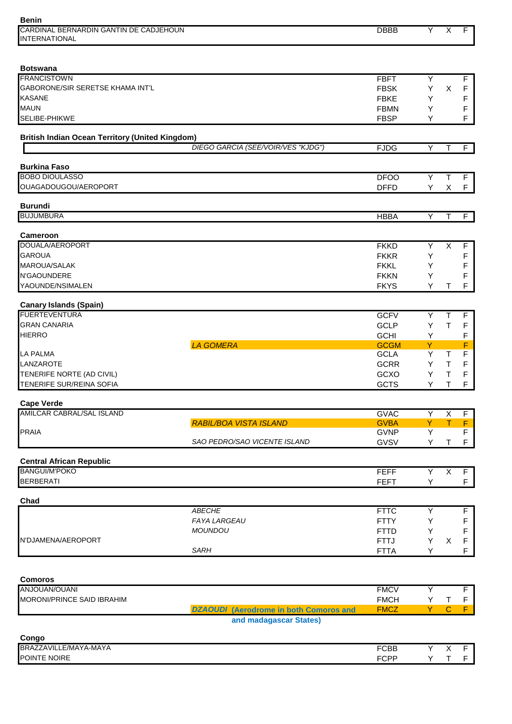| <b>Benin</b>                                            |                                               |                            |         |                         |                     |
|---------------------------------------------------------|-----------------------------------------------|----------------------------|---------|-------------------------|---------------------|
| CARDINAL BERNARDIN GANTIN DE CADJEHOUN                  |                                               | <b>DBBB</b>                | Y       | $\overline{X}$          | F                   |
| <b>INTERNATIONAL</b>                                    |                                               |                            |         |                         |                     |
|                                                         |                                               |                            |         |                         |                     |
| <b>Botswana</b>                                         |                                               |                            |         |                         |                     |
| <b>FRANCISTOWN</b>                                      |                                               | <b>FBFT</b>                | Υ       |                         | $\overline{F}$      |
| GABORONE/SIR SERETSE KHAMA INT'L                        |                                               | <b>FBSK</b>                | Υ       | X                       | F                   |
| <b>KASANE</b>                                           |                                               | <b>FBKE</b>                | Y       |                         | F                   |
| <b>MAUN</b>                                             |                                               | <b>FBMN</b>                | Y       |                         | F                   |
| SELIBE-PHIKWE                                           |                                               | <b>FBSP</b>                | Y       |                         | F                   |
| <b>British Indian Ocean Territory (United Kingdom)</b>  |                                               |                            |         |                         |                     |
|                                                         | DIEGO GARCIA (SEE/VOIR/VES "KJDG")            | <b>FJDG</b>                | Υ       | $\mathsf{T}$            | F                   |
| <b>Burkina Faso</b>                                     |                                               |                            |         |                         |                     |
| <b>BOBO DIOULASSO</b>                                   |                                               | <b>DFOO</b>                | Y       | T                       | F                   |
| OUAGADOUGOU/AEROPORT                                    |                                               | <b>DFFD</b>                | Υ       | X                       | F                   |
|                                                         |                                               |                            |         |                         |                     |
| <b>Burundi</b><br><b>BUJUMBURA</b>                      |                                               | <b>HBBA</b>                | Υ       | $\mathsf{T}$            |                     |
|                                                         |                                               |                            |         |                         | F                   |
| <b>Cameroon</b>                                         |                                               |                            |         |                         |                     |
| DOUALA/AEROPORT                                         |                                               | <b>FKKD</b>                | Υ       | $\overline{\mathsf{x}}$ | $\overline{F}$      |
| <b>GAROUA</b>                                           |                                               | <b>FKKR</b>                | Y       |                         | F                   |
| <b>MAROUA/SALAK</b>                                     |                                               | <b>FKKL</b>                | Υ       |                         | F                   |
| N'GAOUNDERE                                             |                                               | <b>FKKN</b>                | Y       |                         | F                   |
| YAOUNDE/NSIMALEN                                        |                                               | <b>FKYS</b>                | Y       | Т                       | F                   |
|                                                         |                                               |                            |         |                         |                     |
| <b>Canary Islands (Spain)</b><br><b>FUERTEVENTURA</b>   |                                               | <b>GCFV</b>                | Y       | $\overline{\mathsf{T}}$ | F                   |
| <b>GRAN CANARIA</b>                                     |                                               | <b>GCLP</b>                | Υ       | $\mathsf{T}$            | F                   |
| <b>HIERRO</b>                                           |                                               | <b>GCHI</b>                | Y       |                         | F                   |
|                                                         | <b>LA GOMERA</b>                              | <b>GCGM</b>                | Y       |                         | F                   |
| <b>LA PALMA</b>                                         |                                               | <b>GCLA</b>                | Υ       | Τ                       | F                   |
| LANZAROTE                                               |                                               | <b>GCRR</b>                | Y       | $\mathsf T$             | $\mathsf F$         |
| TENERIFE NORTE (AD CIVIL)                               |                                               | GCXO                       | Y       | $\top$                  | $\mathsf F$         |
| TENERIFE SUR/REINA SOFIA                                |                                               | <b>GCTS</b>                | Y       | Т                       | F                   |
|                                                         |                                               |                            |         |                         |                     |
| <b>Cape Verde</b><br>AMILCAR CABRAL/SAL ISLAND          |                                               | <b>GVAC</b>                | Y       | $\overline{\mathsf{x}}$ | $\overline{F}$      |
|                                                         | <b>RABIL/BOA VISTA ISLAND</b>                 | <b>GVBA</b>                | Y       | $\mathsf{T}$            | F                   |
| <b>PRAIA</b>                                            |                                               | <b>GVNP</b>                | Υ       |                         | F                   |
|                                                         | SAO PEDRO/SAO VICENTE ISLAND                  | GVSV                       | Y       | $\mathsf T$             | F                   |
|                                                         |                                               |                            |         |                         |                     |
| <b>Central African Republic</b><br><b>BANGUI/M'POKO</b> |                                               | <b>FEFF</b>                | Y       | $\overline{\mathsf{x}}$ | F                   |
| <b>BERBERATI</b>                                        |                                               | <b>FEFT</b>                | Y       |                         | F                   |
|                                                         |                                               |                            |         |                         |                     |
| Chad                                                    |                                               |                            |         |                         |                     |
|                                                         | <b>ABECHE</b><br><b>FAYA LARGEAU</b>          | <b>FTTC</b>                | Υ       |                         | F                   |
|                                                         |                                               | <b>FTTY</b>                | Υ       |                         | F                   |
| N'DJAMENA/AEROPORT                                      | <b>MOUNDOU</b>                                | <b>FTTD</b>                | Y<br>Υ  |                         | F<br>F              |
|                                                         | <b>SARH</b>                                   | <b>FTTJ</b><br><b>FTTA</b> | Y       | X                       | $\mathsf F$         |
|                                                         |                                               |                            |         |                         |                     |
|                                                         |                                               |                            |         |                         |                     |
| <b>Comoros</b><br>ANJOUAN/OUANI                         |                                               |                            |         |                         |                     |
|                                                         |                                               | <b>FMCV</b>                | Y       |                         | F                   |
| MORONI/PRINCE SAID IBRAHIM                              | <b>DZAOUDI</b> (Aerodrome in both Comoros and | <b>FMCH</b><br><b>FMCZ</b> | Υ<br>Y. | $\top$<br>$\mathbf{C}$  | F<br>F <sub>1</sub> |
|                                                         | and madagascar States)                        |                            |         |                         |                     |
|                                                         |                                               |                            |         |                         |                     |
| Congo                                                   |                                               |                            |         |                         |                     |
| BRAZZAVILLE/MAYA-MAYA                                   |                                               | <b>FCBB</b>                | Y       | $\mathsf{X}$            | $\blacksquare$      |
| POINTE NOIRE                                            |                                               | <b>FCPP</b>                | Y.      | $\mathsf T$             | F                   |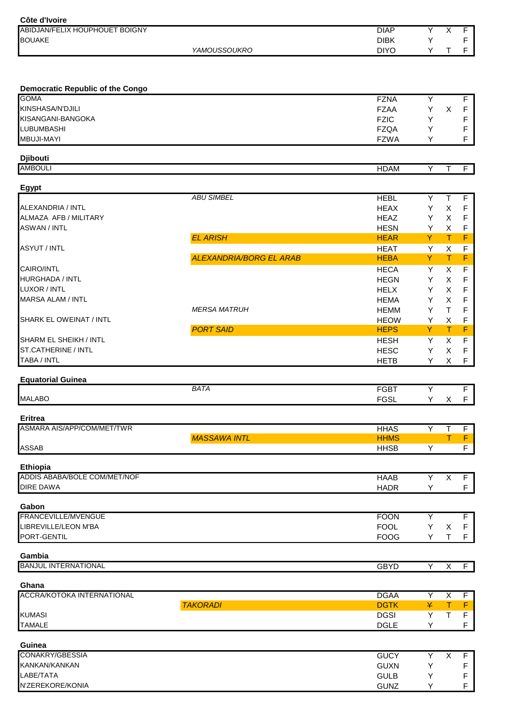| Côte d'Ivoire                              |                                |                            |        |                         |                  |
|--------------------------------------------|--------------------------------|----------------------------|--------|-------------------------|------------------|
| ABIDJAN/FELIX HOUPHOUET BOIGNY             |                                | <b>DIAP</b>                | Y      | $\overline{\mathsf{x}}$ | F                |
| <b>BOUAKE</b>                              |                                | <b>DIBK</b>                | Υ      |                         | F                |
|                                            | YAMOUSSOUKRO                   | <b>DIYO</b>                | Y      | T                       | F.               |
|                                            |                                |                            |        |                         |                  |
| <b>Democratic Republic of the Congo</b>    |                                |                            |        |                         |                  |
| <b>GOMA</b>                                |                                | <b>FZNA</b>                | Y      |                         | F                |
| KINSHASA/N'DJILI                           |                                | <b>FZAA</b>                | Y      | $\pmb{\times}$          | F                |
| KISANGANI-BANGOKA                          |                                | <b>FZIC</b>                | Y      |                         | F                |
| <b>LUBUMBASHI</b>                          |                                | <b>FZQA</b>                | Y      |                         | F                |
| <b>MBUJI-MAYI</b>                          |                                | <b>FZWA</b>                | Υ      |                         | F                |
| <b>Djibouti</b><br><b>AMBOULI</b>          |                                | <b>HDAM</b>                | Υ      |                         |                  |
|                                            |                                |                            |        | Τ                       | F.               |
| Egypt                                      |                                |                            |        |                         |                  |
|                                            | <b>ABU SIMBEL</b>              | <b>HEBL</b>                | Υ      | $\mathsf{T}$            | F                |
| <b>ALEXANDRIA / INTL</b>                   |                                | <b>HEAX</b>                | Y      | $\pmb{\times}$          | $\mathsf F$      |
| ALMAZA AFB / MILITARY                      |                                | <b>HEAZ</b>                | Y      | X                       | F                |
| <b>ASWAN / INTL</b>                        | <b>EL ARISH</b>                | <b>HESN</b><br><b>HEAR</b> | Y<br>Y | X                       | F                |
| <b>ASYUT / INTL</b>                        |                                |                            |        | Τ                       | F                |
|                                            | <b>ALEXANDRIA/BORG EL ARAB</b> | <b>HEAT</b><br><b>HEBA</b> | Υ<br>Y | $\mathsf X$<br>Τ        | F<br>F           |
| <b>CAIRO/INTL</b>                          |                                | <b>HECA</b>                | Y      | X                       | F                |
| <b>HURGHADA / INTL</b>                     |                                | <b>HEGN</b>                | Y      | X                       | F                |
| LUXOR / INTL                               |                                | <b>HELX</b>                | Y      | X                       | F                |
| <b>MARSA ALAM / INTL</b>                   |                                | <b>HEMA</b>                | Y      | X                       | F                |
|                                            | <b>MERSA MATRUH</b>            | HEMM                       | Y      | $\mathsf T$             | F                |
| <b>SHARK EL OWEINAT / INTL</b>             |                                | <b>HEOW</b>                | Y      | X                       | F                |
|                                            | <b>PORT SAID</b>               | <b>HEPS</b>                | Y      | T                       | F                |
| SHARM EL SHEIKH / INTL                     |                                | <b>HESH</b>                | Y      | X                       | F                |
| ST.CATHERINE / INTL                        |                                | <b>HESC</b>                | Y      | X                       | F                |
| TABA / INTL                                |                                | <b>HETB</b>                | Υ      | X                       | F                |
| <b>Equatorial Guinea</b>                   |                                |                            |        |                         |                  |
|                                            | <b>BATA</b>                    | <b>FGBT</b>                | Υ      |                         | F                |
| <b>MALABO</b>                              |                                | <b>FGSL</b>                |        | $Y - X$                 | $\mathsf F$      |
| <b>Eritrea</b>                             |                                |                            |        |                         |                  |
| ASMARA AIS/APP/COM/MET/TWR                 |                                | <b>HHAS</b><br><b>HHMS</b> | Y      | T                       | F.               |
| <b>ASSAB</b>                               | <b>MASSAWA INTL</b>            | <b>HHSB</b>                | Υ      | T                       | F<br>$\mathsf F$ |
|                                            |                                |                            |        |                         |                  |
| Ethiopia<br>ADDIS ABABA/BOLE COM/MET/NOF   |                                | <b>HAAB</b>                | Y      | X                       | F.               |
| <b>DIRE DAWA</b>                           |                                | <b>HADR</b>                | Υ      |                         | F.               |
| Gabon                                      |                                |                            |        |                         |                  |
| FRANCEVILLE/MVENGUE                        |                                | <b>FOON</b>                | Υ      |                         | F                |
| LIBREVILLE/LEON M'BA                       |                                | <b>FOOL</b>                | Υ      | X                       | F                |
| PORT-GENTIL                                |                                | <b>FOOG</b>                | Y      | $\top$                  | F                |
| Gambia                                     |                                |                            |        |                         |                  |
| <b>BANJUL INTERNATIONAL</b>                |                                | <b>GBYD</b>                | Y      | X                       | F.               |
|                                            |                                |                            |        |                         |                  |
| Ghana<br><b>ACCRA/KOTOKA INTERNATIONAL</b> |                                | <b>DGAA</b>                | Υ      | X                       | F                |
|                                            | <b>TAKORADI</b>                | <b>DGTK</b>                | ¥      | T.                      | F                |
| <b>KUMASI</b>                              |                                | <b>DGSI</b>                | Υ      | T                       | $\mathsf F$      |
| <b>TAMALE</b>                              |                                | <b>DGLE</b>                | Y      |                         | F                |
| Guinea                                     |                                |                            |        |                         |                  |
| CONAKRY/GBESSIA                            |                                | <b>GUCY</b>                | Y      | X                       | F.               |
| KANKAN/KANKAN                              |                                | <b>GUXN</b>                | Υ      |                         | F                |
| LABE/TATA                                  |                                | <b>GULB</b>                | Υ      |                         | F                |
| N'ZEREKORE/KONIA                           |                                | <b>GUNZ</b>                | Υ      |                         | F                |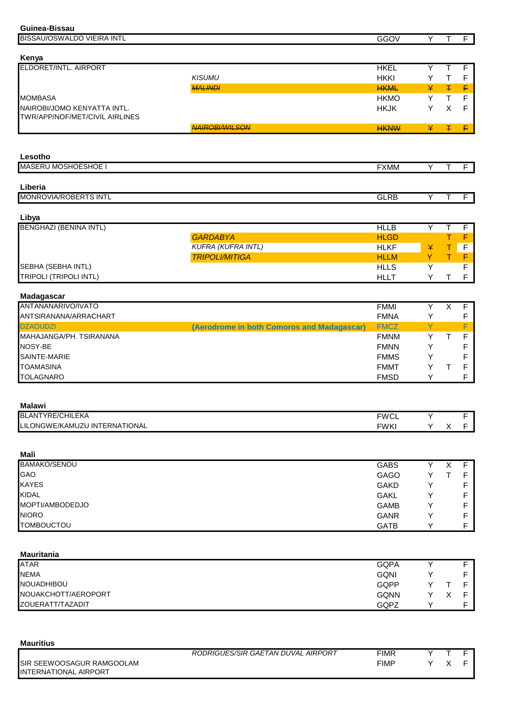| Guinea-Bissau                                                 |                                            |                            |        |                         |                  |
|---------------------------------------------------------------|--------------------------------------------|----------------------------|--------|-------------------------|------------------|
| BISSAU/OSWALDO VIEIRA INTL                                    |                                            | GGOV                       | Y      | T                       | F                |
|                                                               |                                            |                            |        |                         |                  |
| Kenya                                                         |                                            |                            |        |                         |                  |
| ELDORET/INTL. AIRPORT                                         |                                            | <b>HKEL</b>                | Y      | $\overline{\mathsf{T}}$ | $\overline{F}$   |
|                                                               | <b>KISUMU</b>                              | <b>HKKI</b>                | Υ      | $\top$                  | $\mathsf F$      |
|                                                               | <b>MALINDI</b>                             | <b>HKML</b>                | ¥      | $\mp$                   | F                |
| <b>MOMBASA</b>                                                |                                            | <b>HKMO</b>                | Y      | $\mathsf{T}$            | $\mathsf F$      |
| NAIROBI/JOMO KENYATTA INTL.<br>TWR/APP/NOF/MET/CIVIL AIRLINES |                                            | <b>HKJK</b>                | Υ      | X                       | $\mathsf F$      |
|                                                               | <b>NAIROBIAVILSON</b>                      | <b>HKNW</b>                | ¥      | Ŧ                       | F.               |
|                                                               |                                            |                            |        |                         |                  |
|                                                               |                                            |                            |        |                         |                  |
| Lesotho                                                       |                                            |                            |        |                         |                  |
| <b>MASERU MOSHOESHOE I</b>                                    |                                            | <b>FXMM</b>                | Y      | Τ                       | $\overline{F}$   |
|                                                               |                                            |                            |        |                         |                  |
| Liberia                                                       |                                            |                            |        |                         |                  |
| MONROVIA/ROBERTS INTL                                         |                                            | <b>GLRB</b>                | Y      | Τ                       | F.               |
|                                                               |                                            |                            |        |                         |                  |
| Libya                                                         |                                            |                            |        |                         |                  |
| <b>BENGHAZI (BENINA INTL)</b>                                 |                                            | <b>HLLB</b>                | Y      | $\overline{\mathsf{T}}$ | $\overline{F}$   |
|                                                               | <b>GARDABYA</b>                            | <b>HLGD</b>                |        | T                       | F                |
|                                                               | <b>KUFRA (KUFRA INTL)</b>                  | <b>HLKF</b>                | ¥      | $\top$                  | F                |
|                                                               | <b>TRIPOLI/MITIGA</b>                      | <b>HLLM</b>                | Y      | $\top$                  | $\mathsf F$      |
| SEBHA (SEBHA INTL)                                            |                                            | <b>HLLS</b>                | Υ      |                         | $\overline{F}$   |
| <b>TRIPOLI (TRIPOLI INTL)</b>                                 |                                            | <b>HLLT</b>                | Y      | T                       | F                |
| Madagascar                                                    |                                            |                            |        |                         |                  |
| ANTANANARIVO/IVATO                                            |                                            | <b>FMMI</b>                | Υ      | $\overline{\mathsf{x}}$ | F                |
| ANTSIRANANA/ARRACHART                                         |                                            | <b>FMNA</b>                | Υ      |                         | F                |
| <b>DZAOUDZI</b>                                               | (Aerodrome in both Comoros and Madagascar) | <b>FMCZ</b>                | Y      |                         | F                |
| MAHAJANGA/PH. TSIRANANA                                       |                                            | <b>FMNM</b>                | Υ      | T                       | F                |
| NOSY-BE                                                       |                                            | <b>FMNN</b>                | Υ      |                         | F                |
| SAINTE-MARIE                                                  |                                            | <b>FMMS</b>                | Y      |                         | F                |
| <b>TOAMASINA</b>                                              |                                            | <b>FMMT</b>                | Υ      | $\top$                  |                  |
| <b>TOLAGNARO</b>                                              |                                            | <b>FMSD</b>                | Υ      |                         | F<br>$\mathsf F$ |
|                                                               |                                            |                            |        |                         |                  |
|                                                               |                                            |                            |        |                         |                  |
| <b>Malawi</b>                                                 |                                            |                            |        |                         |                  |
| <b>BLANTYRE/CHILEKA</b>                                       |                                            | <b>FWCL</b>                | Y      |                         | F                |
| LILONGWE/KAMUZU INTERNATIONAL                                 |                                            | <b>FWKI</b>                | Y      | X                       | F.               |
|                                                               |                                            |                            |        |                         |                  |
| Mali                                                          |                                            |                            |        |                         |                  |
| <b>BAMAKO/SENOU</b>                                           |                                            | <b>GABS</b>                | Y      | X                       | F                |
| GAO                                                           |                                            | <b>GAGO</b>                | Υ      | $\mathsf T$             | F                |
| <b>KAYES</b>                                                  |                                            | <b>GAKD</b>                | Y      |                         | F                |
| <b>KIDAL</b>                                                  |                                            | <b>GAKL</b>                | Y      |                         | F                |
| MOPTI/AMBODEDJO                                               |                                            | <b>GAMB</b>                | Y      |                         | F                |
| <b>NIORO</b>                                                  |                                            |                            |        |                         |                  |
| <b>TOMBOUCTOU</b>                                             |                                            | <b>GANR</b><br><b>GATB</b> | Υ<br>Υ |                         | F<br>$\mathsf F$ |
|                                                               |                                            |                            |        |                         |                  |
|                                                               |                                            |                            |        |                         |                  |
| <b>Mauritania</b>                                             |                                            |                            |        |                         |                  |
| <b>ATAR</b>                                                   |                                            | <b>GQPA</b>                | Υ      |                         | F                |
| <b>NEMA</b>                                                   |                                            | <b>GQNI</b>                | Y      |                         | F                |
| NOUADHIBOU                                                    |                                            | GQPP                       | Y      | Τ                       | F                |
| NOUAKCHOTT/AEROPORT                                           |                                            | GQNN                       | Υ      | X                       | F                |
| ZOUERATT/TAZADIT                                              |                                            | GQPZ                       | Y      |                         | $\mathsf F$      |
|                                                               |                                            |                            |        |                         |                  |
|                                                               |                                            |                            |        |                         |                  |
|                                                               |                                            |                            |        |                         |                  |
| <b>Mauritius</b>                                              |                                            |                            |        |                         |                  |

|                                                                   | RODRIGUES/SIR GAETAN DUVAL AIRPORT | FIMR |  |  |
|-------------------------------------------------------------------|------------------------------------|------|--|--|
| <b>ISIR SEEWOOSAGUR RAMGOOLAM</b><br><b>INTERNATIONAL AIRPORT</b> |                                    | FIMF |  |  |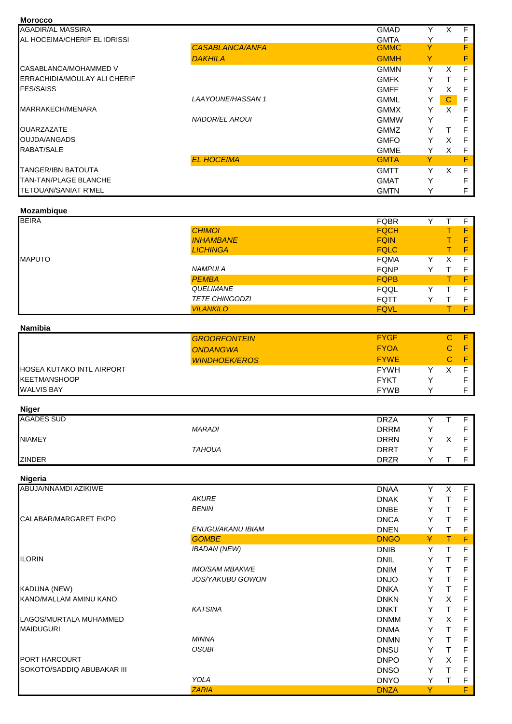| <b>Morocco</b>                      |                         |             |   |              |               |
|-------------------------------------|-------------------------|-------------|---|--------------|---------------|
| <b>AGADIR/AL MASSIRA</b>            |                         | <b>GMAD</b> | Y | $\times$     | F.            |
| AL HOCEIMA/CHERIF EL IDRISSI        |                         | <b>GMTA</b> | Y |              | $\frac{F}{F}$ |
|                                     | <b>CASABLANCA/ANFA</b>  | <b>GMMC</b> | Y |              |               |
|                                     | <b>DAKHILA</b>          | <b>GMMH</b> | Y |              | F             |
| CASABLANCA/MOHAMMED V               |                         | <b>GMMN</b> | Y | X            | F             |
| <b>ERRACHIDIA/MOULAY ALI CHERIF</b> |                         | <b>GMFK</b> | Y | $\mathsf{T}$ | F             |
| <b>FES/SAISS</b>                    |                         | <b>GMFF</b> | Y | X            | F             |
|                                     | <b>LAAYOUNE/HASSAN1</b> | <b>GMML</b> | Y | $\mathbf{C}$ | F             |
| MARRAKECH/MENARA                    |                         | <b>GMMX</b> | Y | X            | F             |
|                                     | <b>NADOR/EL AROUI</b>   | <b>GMMW</b> | Y |              | F             |
| <b>OUARZAZATE</b>                   |                         | <b>GMMZ</b> | Y | $\mathsf{T}$ | F             |
| OUJDA/ANGADS                        |                         | <b>GMFO</b> | Y | $\times$     | F             |
| RABAT/SALE                          |                         | <b>GMME</b> | Y | X            | F             |
|                                     | <b>EL HOCEIMA</b>       | <b>GMTA</b> | Y |              | F             |
| <b>TANGER/IBN BATOUTA</b>           |                         | <b>GMTT</b> | Y | $\times$     | F             |
| <b>TAN-TAN/PLAGE BLANCHE</b>        |                         | <b>GMAT</b> | Y |              | F             |
| TETOUAN/SANIAT R'MEL                |                         | <b>GMTN</b> | Y |              | F             |
| Mozambique                          |                         |             |   |              |               |
| <b>BEIRA</b>                        |                         | <b>FQBR</b> | Y | $\top$       | F.            |
|                                     | <b>CHIMOI</b>           | <b>FQCH</b> |   | т            | F.            |
|                                     | <b>INHAMBANE</b>        | <b>FQIN</b> |   | т            | F             |
|                                     | <b>LICHINGA</b>         | <b>FQLC</b> |   | T.           | F             |
| <b>MAPUTO</b>                       |                         | <b>FQMA</b> | Y | X            | F             |
|                                     | <b>NAMPULA</b>          | <b>FQNP</b> | Y | $\mathsf{T}$ | F             |
|                                     | <b>PEMBA</b>            | <b>FOPB</b> |   | $\top$       | F             |
|                                     | QUELIMANE               | FQQL        | Y | $\top$       | F             |
|                                     | <b>TETE CHINGODZI</b>   | <b>FQTT</b> | Y | т            | F             |
|                                     | <b>VILANKILO</b>        | <b>FQVL</b> |   | т            | F.            |

# **Mozambique**

|                              | <b>EL HOCEIMA</b>     | <b>GMTA</b> | Y |          | F  |
|------------------------------|-----------------------|-------------|---|----------|----|
| <b>TANGER/IBN BATOUTA</b>    |                       | <b>GMTT</b> | Y | $\times$ | F  |
| <b>TAN-TAN/PLAGE BLANCHE</b> |                       | <b>GMAT</b> | Υ |          | F  |
| <b>TETOUAN/SANIAT R'MEL</b>  |                       | <b>GMTN</b> | Y |          | F  |
| Mozambique                   |                       |             |   |          |    |
| <b>BEIRA</b>                 |                       | <b>FQBR</b> | Y |          | F  |
|                              | <b>CHIMOI</b>         | <b>FQCH</b> |   |          | F  |
|                              | <b>INHAMBANE</b>      | <b>FQIN</b> |   |          | F  |
|                              | <b>LICHINGA</b>       | <b>FQLC</b> |   |          | F  |
| <b>MAPUTO</b>                |                       | <b>FQMA</b> | Υ | X        | F  |
|                              | <b>NAMPULA</b>        | <b>FQNP</b> | Y | т        | F  |
|                              | <b>PEMBA</b>          | <b>FQPB</b> |   |          | F  |
|                              | QUELIMANE             | <b>FQQL</b> | Y | т        | E  |
|                              | <b>TETE CHINGODZI</b> | <b>FQTT</b> | Υ |          | F  |
|                              | <b>VILANKILO</b>      | <b>FQVL</b> |   |          | F  |
| Namibia                      |                       |             |   |          |    |
|                              | <b>GROORFONTEIN</b>   | <b>FYGF</b> |   | C        | F. |
|                              | <b>ONDANGWA</b>       | <b>FYOA</b> |   | C        | F  |

# **Namibia**

|                                  | <b>GROORFONTEIN</b>  | <b>FYGF</b> |   | F  |
|----------------------------------|----------------------|-------------|---|----|
|                                  | <b>ONDANGWA</b>      | <b>FYOA</b> |   | F. |
|                                  | <b>WINDHOEK/EROS</b> | <b>FYWE</b> |   | F. |
| <b>HOSEA KUTAKO INTL AIRPORT</b> |                      | <b>FYWH</b> |   |    |
| <b>KEETMANSHOOP</b>              |                      | <b>FYKT</b> |   |    |
| <b>WALVIS BAY</b>                |                      | <b>FYWB</b> | v |    |

| <b>Niger</b>      |               |             |  |  |
|-------------------|---------------|-------------|--|--|
| <b>AGADES SUD</b> |               | <b>DRZA</b> |  |  |
|                   | <b>MARADI</b> | <b>DRRM</b> |  |  |
| <b>NIAMEY</b>     |               | <b>DRRN</b> |  |  |
|                   | <b>TAHOUA</b> | <b>DRRT</b> |  |  |
| <b>ZINDER</b>     |               | <b>DRZR</b> |  |  |

**Nigeria**

| ABUJA/NNAMDI AZIKIWE       |                         | <b>DNAA</b> | Y | X  | F |
|----------------------------|-------------------------|-------------|---|----|---|
|                            | <b>AKURE</b>            | <b>DNAK</b> | Y | т  | F |
|                            | <b>BENIN</b>            | <b>DNBE</b> | Y | т  | F |
| CALABAR/MARGARET EKPO      |                         | <b>DNCA</b> | Y | т  | F |
|                            | ENUGU/AKANU IBIAM       | <b>DNEN</b> | Y | T. | F |
|                            | <b>GOMBE</b>            | <b>DNGO</b> | ¥ | T. | F |
|                            | <b>IBADAN (NEW)</b>     | <b>DNIB</b> | Y | т  | F |
| <b>ILORIN</b>              |                         | <b>DNIL</b> | Y | т  | F |
|                            | <b>IMO/SAM MBAKWE</b>   | <b>DNIM</b> | Y |    | F |
|                            | <b>JOS/YAKUBU GOWON</b> | <b>DNJO</b> | Y |    | F |
| <b>KADUNA (NEW)</b>        |                         | <b>DNKA</b> | Y |    | F |
| KANO/MALLAM AMINU KANO     |                         | <b>DNKN</b> | Υ | X  | F |
|                            | <b>KATSINA</b>          | <b>DNKT</b> | Y | т  | F |
| LAGOS/MURTALA MUHAMMED     |                         | <b>DNMM</b> | Y | X  | F |
| <b>MAIDUGURI</b>           |                         | <b>DNMA</b> | Y |    | F |
|                            | <b>MINNA</b>            | <b>DNMN</b> | Y |    | F |
|                            | <b>OSUBI</b>            | <b>DNSU</b> | Y | т  | F |
| <b>PORT HARCOURT</b>       |                         | <b>DNPO</b> | Y | X  | F |
| SOKOTO/SADDIQ ABUBAKAR III |                         | <b>DNSO</b> | Y |    | F |
|                            | <b>YOLA</b>             | <b>DNYO</b> | Y | т  | F |
|                            | <b>ZARIA</b>            | <b>DNZA</b> | Y |    | F |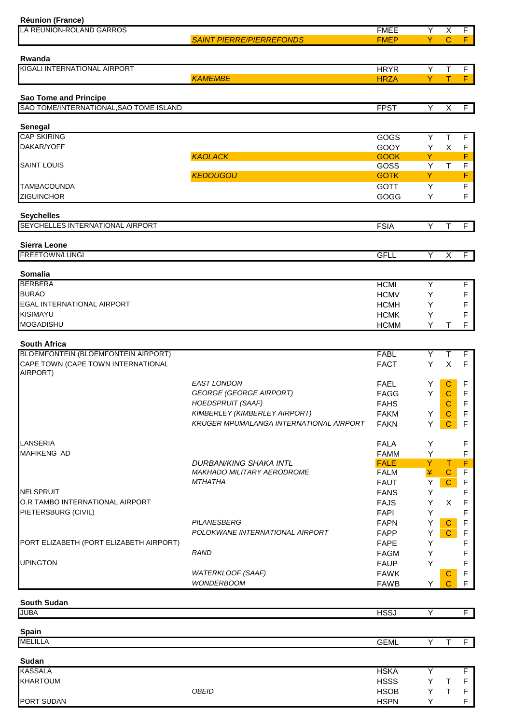| <b>Réunion (France)</b>                                |                                                |                            |        |                            |                |
|--------------------------------------------------------|------------------------------------------------|----------------------------|--------|----------------------------|----------------|
| LA REUNION-ROLAND GARROS                               |                                                | <b>FMEE</b>                | Υ      | $\overline{\mathsf{x}}$    | $\overline{F}$ |
|                                                        | <b>SAINT PIERRE/PIERREFONDS</b>                | <b>FMEP</b>                | Y      | $\mathbf C$                | F              |
|                                                        |                                                |                            |        |                            |                |
| Rwanda                                                 |                                                |                            |        |                            |                |
| KIGALI INTERNATIONAL AIRPORT                           | <b>KAMEMBE</b>                                 | <b>HRYR</b>                | Y      | Τ                          | F              |
|                                                        |                                                | <b>HRZA</b>                | Y.     | $\mathsf T$                | F              |
| Sao Tome and Principe                                  |                                                |                            |        |                            |                |
| SAO TOME/INTERNATIONAL, SAO TOME ISLAND                |                                                | <b>FPST</b>                | Y      | X                          | F              |
|                                                        |                                                |                            |        |                            |                |
| Senegal                                                |                                                |                            |        |                            |                |
| <b>CAP SKIRING</b>                                     |                                                | <b>GOGS</b>                | Y      | $\mathsf{T}$               | F              |
| DAKAR/YOFF                                             |                                                | GOOY                       | Υ      | X                          | F              |
|                                                        | <b>KAOLACK</b>                                 | <b>GOOK</b>                | Y      |                            | F              |
| <b>SAINT LOUIS</b>                                     |                                                | GOSS                       | Υ      | Т                          | F              |
|                                                        | <b>KEDOUGOU</b>                                | <b>GOTK</b>                | Y      |                            | F              |
| <b>TAMBACOUNDA</b>                                     |                                                | <b>GOTT</b>                | Υ      |                            | F              |
| <b>ZIGUINCHOR</b>                                      |                                                | GOGG                       | Υ      |                            | $\mathsf F$    |
|                                                        |                                                |                            |        |                            |                |
| <b>Seychelles</b>                                      |                                                |                            |        |                            |                |
| SEYCHELLES INTERNATIONAL AIRPORT                       |                                                | <b>FSIA</b>                | Y      | $\mathsf{T}$               | $\overline{F}$ |
|                                                        |                                                |                            |        |                            |                |
| <b>Sierra Leone</b><br>FREETOWN/LUNGI                  |                                                |                            | Y      |                            |                |
|                                                        |                                                | <b>GFLL</b>                |        | X                          | F              |
| Somalia                                                |                                                |                            |        |                            |                |
| <b>BERBERA</b>                                         |                                                | <b>HCMI</b>                | Υ      |                            | F              |
| <b>BURAO</b>                                           |                                                | <b>HCMV</b>                | Y      |                            | F              |
| EGAL INTERNATIONAL AIRPORT                             |                                                | <b>HCMH</b>                | Y      |                            | F              |
| KISIMAYU                                               |                                                | <b>HCMK</b>                | Υ      |                            | F              |
| <b>MOGADISHU</b>                                       |                                                | <b>HCMM</b>                | Y      | Т                          | F              |
|                                                        |                                                |                            |        |                            |                |
| <b>South Africa</b>                                    |                                                |                            |        |                            |                |
| BLOEMFONTEIN (BLOEMFONTEIN AIRPORT)                    |                                                | <b>FABL</b>                | Υ      | T                          | F              |
| CAPE TOWN (CAPE TOWN INTERNATIONAL                     |                                                | <b>FACT</b>                | Y      | X                          | F              |
| AIRPORT)                                               |                                                |                            |        |                            |                |
|                                                        | <b>EAST LONDON</b>                             | <b>FAEL</b>                | Y      | $\mathbf C$                | F              |
|                                                        | <b>GEORGE (GEORGE AIRPORT)</b>                 | <b>FAGG</b>                | Y      | $\mathbf C$                | F              |
|                                                        | HOEDSPRUIT (SAAF)                              | <b>FAHS</b>                |        | C                          | ۲              |
|                                                        | KIMBERLEY (KIMBERLEY AIRPORT)                  | <b>FAKM</b>                | Υ      | $\mathbf C$                | $\mathsf F$    |
|                                                        | <b>KRUGER MPUMALANGA INTERNATIONAL AIRPORT</b> | <b>FAKN</b>                | Υ      | $\mathbf C$                | $\mathsf F$    |
|                                                        |                                                |                            |        |                            |                |
| LANSERIA                                               |                                                | <b>FALA</b>                | Y      |                            | F              |
| <b>MAFIKENG AD</b>                                     |                                                | <b>FAMM</b>                | Υ      |                            | F              |
|                                                        | <b>DURBAN/KING SHAKA INTL</b>                  | <b>FALE</b>                | Y      | Т                          | F              |
|                                                        | MAKHADO MILITARY AERODROME                     | <b>FALM</b>                | ¥      | $\mathbf C$                | F              |
|                                                        | <b>MTHATHA</b>                                 | <b>FAUT</b>                | Y      | $\mathbf C$                | F              |
| <b>NELSPRUIT</b>                                       |                                                | <b>FANS</b>                | Y      |                            | F              |
| O.R TAMBO INTERNATIONAL AIRPORT<br>PIETERSBURG (CIVIL) |                                                | <b>FAJS</b><br><b>FAPI</b> | Y      | Χ                          | F              |
|                                                        | PILANESBERG                                    | <b>FAPN</b>                | Y      |                            | F              |
|                                                        | POLOKWANE INTERNATIONAL AIRPORT                |                            | Y<br>Y | $\mathbf C$<br>$\mathbf C$ | F              |
| PORT ELIZABETH (PORT ELIZABETH AIRPORT)                |                                                | <b>FAPP</b><br><b>FAPE</b> | Y      |                            | F<br>F         |
|                                                        | <b>RAND</b>                                    | <b>FAGM</b>                | Y      |                            | F              |
| <b>UPINGTON</b>                                        |                                                | <b>FAUP</b>                | Υ      |                            | F              |
|                                                        | WATERKLOOF (SAAF)                              | <b>FAWK</b>                |        |                            | F              |
|                                                        | <b>WONDERBOOM</b>                              | <b>FAWB</b>                | Y      | C<br>$\overline{C}$        | $\mathsf F$    |
|                                                        |                                                |                            |        |                            |                |
| <b>South Sudan</b>                                     |                                                |                            |        |                            |                |
| <b>JUBA</b>                                            |                                                | <b>HSSJ</b>                | Y      |                            | $\overline{F}$ |
|                                                        |                                                |                            |        |                            |                |
| <b>Spain</b>                                           |                                                |                            |        |                            |                |
| <b>MELILLA</b>                                         |                                                | <b>GEML</b>                | Y      | $\mathsf{T}$               | F              |
|                                                        |                                                |                            |        |                            |                |
| Sudan                                                  |                                                |                            |        |                            |                |
| <b>KASSALA</b>                                         |                                                | <b>HSKA</b>                | Y      |                            | F              |
| <b>KHARTOUM</b>                                        |                                                | <b>HSSS</b>                | Υ      | T                          | F              |
|                                                        | <b>OBEID</b>                                   | <b>HSOB</b>                | Υ      | T                          | F              |
| PORT SUDAN                                             |                                                | <b>HSPN</b>                | Υ      |                            | F              |